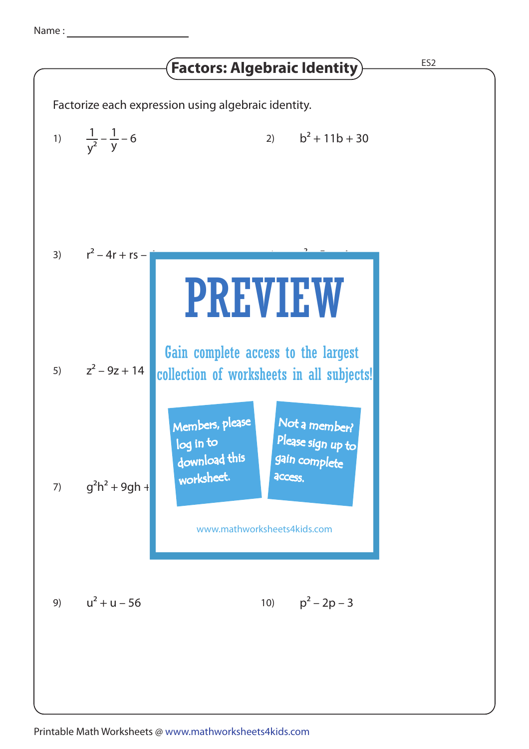